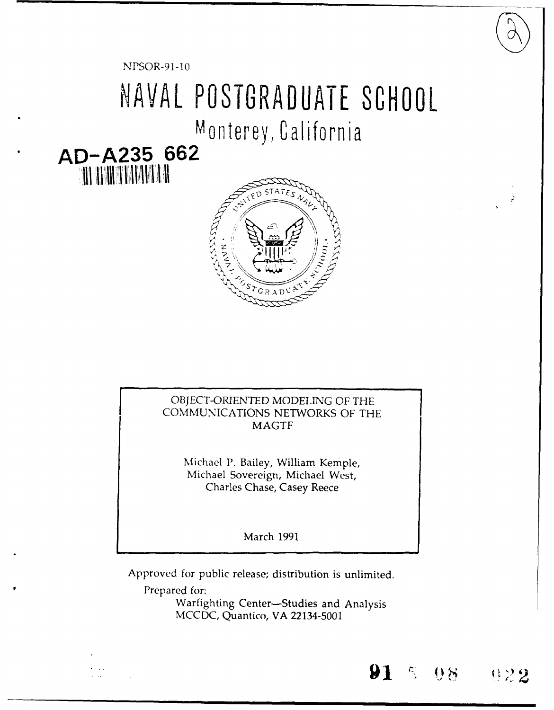NPSOR-91-10

## NAVAL POSTGRADUATE SCHOOL

Monterey, California

## AD-A235 662 **THE MEDICAL STATE**



## OBJECT-ORIENTED MODELING OF THE COMMUNICATIONS NETWORKS OF THE **MAGTF**

Michael P. Bailey, William Kemple, Michael Sovereign, Michael West, Charles Chase, Casey Reece

**March 1991** 

Approved for public release; distribution is unlimited.

Prepared for:

Warfighting Center-Studies and Analysis MCCDC, Quantico, VA 22134-5001

 $5 - 0.8$ 

 $0.22$ 

91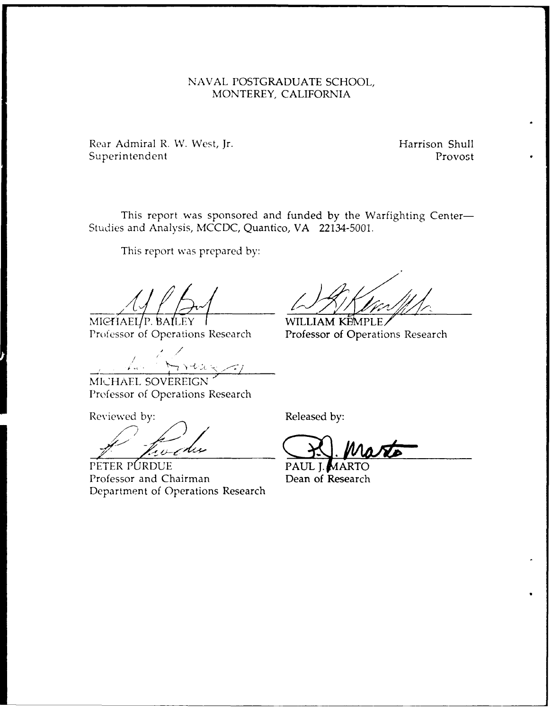## NAVAL POSTGRADUATE SCHOOL, MONTEREY, CALIFORNIA

Rear Admiral R. W. West, Jr. **Harrison Shull** Superintendent Provost

This report was sponsored and funded by the Warfighting Center-Studies and Analysis, MCCDC, Quantico, VA 22134-5001.

This report was prepared by:

MICHAEL/P. BALLEY | WILLIAM KEMPLE<br>Professor of Operations Research Professor of Operati

MICHAEL SOVEREIGN' Prefessor of Operations Research

Reviewed by: The Released by:

**PETER PURDUE PAUL I. MARTING PAUL I.** Professor and Chairman Dean of Research Department of Operations Research

Professor of Operations Research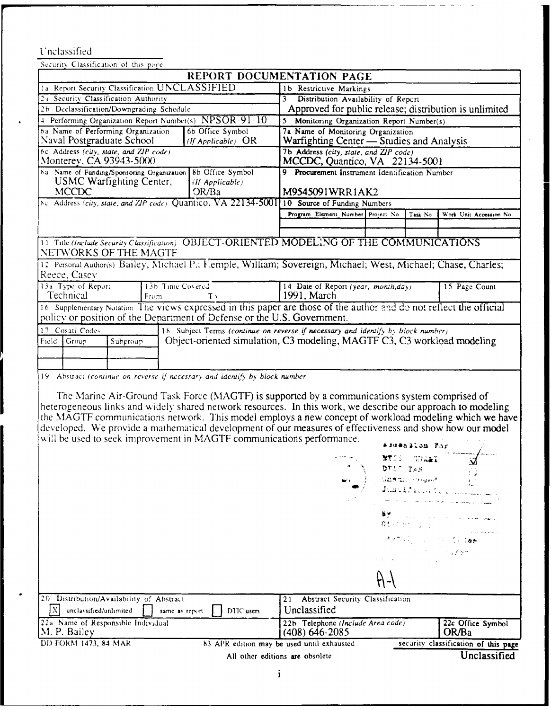## Unclassified

| Security Classification of this page                                                                                                                                                                                                                                                                                                                                                                                                                                                                                                                                                                                                                                                                                                                                                                                                                                                                                                                                                                                                                                                                                                                                     |                                                                                     |
|--------------------------------------------------------------------------------------------------------------------------------------------------------------------------------------------------------------------------------------------------------------------------------------------------------------------------------------------------------------------------------------------------------------------------------------------------------------------------------------------------------------------------------------------------------------------------------------------------------------------------------------------------------------------------------------------------------------------------------------------------------------------------------------------------------------------------------------------------------------------------------------------------------------------------------------------------------------------------------------------------------------------------------------------------------------------------------------------------------------------------------------------------------------------------|-------------------------------------------------------------------------------------|
| REPORT DOCUMENTATION PAGE                                                                                                                                                                                                                                                                                                                                                                                                                                                                                                                                                                                                                                                                                                                                                                                                                                                                                                                                                                                                                                                                                                                                                |                                                                                     |
| 1a Report Security Classification UNCLASSIFIED                                                                                                                                                                                                                                                                                                                                                                                                                                                                                                                                                                                                                                                                                                                                                                                                                                                                                                                                                                                                                                                                                                                           | 1b Restrictive Markings                                                             |
| 2a Security Classification Authority                                                                                                                                                                                                                                                                                                                                                                                                                                                                                                                                                                                                                                                                                                                                                                                                                                                                                                                                                                                                                                                                                                                                     | Distribution Availability of Report<br>3                                            |
| 2b Declassification/Downgrading Schedule                                                                                                                                                                                                                                                                                                                                                                                                                                                                                                                                                                                                                                                                                                                                                                                                                                                                                                                                                                                                                                                                                                                                 | Approved for public release; distribution is unlimited                              |
| 4 Performing Organization Report Number(s) NPSOR-91-10                                                                                                                                                                                                                                                                                                                                                                                                                                                                                                                                                                                                                                                                                                                                                                                                                                                                                                                                                                                                                                                                                                                   | 5 Monitoring Organization Report Number(s)                                          |
| 6a Name of Performing Organization<br>6b Office Symbol<br>Naval Postgraduate School<br>( <i>If Applicable</i> ) $OR$                                                                                                                                                                                                                                                                                                                                                                                                                                                                                                                                                                                                                                                                                                                                                                                                                                                                                                                                                                                                                                                     | 7a Name of Monitoring Organization<br>Warfighting Center — Studies and Analysis     |
| 6c Address (city, state, and ZIP code)                                                                                                                                                                                                                                                                                                                                                                                                                                                                                                                                                                                                                                                                                                                                                                                                                                                                                                                                                                                                                                                                                                                                   | 7b Address (city, state, and ZIP code)                                              |
| Monterey, CA 93943-5000                                                                                                                                                                                                                                                                                                                                                                                                                                                                                                                                                                                                                                                                                                                                                                                                                                                                                                                                                                                                                                                                                                                                                  | MCCDC, Quantico, VA 22134-5001                                                      |
| 8a Name of Funding/Sponsoring Organization<br>8b Office Symbol                                                                                                                                                                                                                                                                                                                                                                                                                                                                                                                                                                                                                                                                                                                                                                                                                                                                                                                                                                                                                                                                                                           | 9 Procurement Instrument Identification Number                                      |
| USMC Warfighting Center,<br>(If Applicable)                                                                                                                                                                                                                                                                                                                                                                                                                                                                                                                                                                                                                                                                                                                                                                                                                                                                                                                                                                                                                                                                                                                              |                                                                                     |
| MCCDC<br>OR/Ba                                                                                                                                                                                                                                                                                                                                                                                                                                                                                                                                                                                                                                                                                                                                                                                                                                                                                                                                                                                                                                                                                                                                                           | M9545091WRR1AK2                                                                     |
| No. Address (city, state, and ZIP code) Quantico, VA 22134-5001 10 Source of Funding Numbers                                                                                                                                                                                                                                                                                                                                                                                                                                                                                                                                                                                                                                                                                                                                                                                                                                                                                                                                                                                                                                                                             |                                                                                     |
|                                                                                                                                                                                                                                                                                                                                                                                                                                                                                                                                                                                                                                                                                                                                                                                                                                                                                                                                                                                                                                                                                                                                                                          | Program Element Number Project No.<br>Task No<br>Work Unit Accession No.            |
|                                                                                                                                                                                                                                                                                                                                                                                                                                                                                                                                                                                                                                                                                                                                                                                                                                                                                                                                                                                                                                                                                                                                                                          |                                                                                     |
| 11 Title (Include Security Classification) OBJECT-ORIENTED MODELING OF THE COMMUNICATIONS<br>NETWORKS OF THE MAGTF                                                                                                                                                                                                                                                                                                                                                                                                                                                                                                                                                                                                                                                                                                                                                                                                                                                                                                                                                                                                                                                       |                                                                                     |
| 12 Personal Author(s) Bailey, Michael P.: Femple, William; Sovereign, Michael; West, Michael; Chase, Charles;                                                                                                                                                                                                                                                                                                                                                                                                                                                                                                                                                                                                                                                                                                                                                                                                                                                                                                                                                                                                                                                            |                                                                                     |
| Reece, Casev                                                                                                                                                                                                                                                                                                                                                                                                                                                                                                                                                                                                                                                                                                                                                                                                                                                                                                                                                                                                                                                                                                                                                             |                                                                                     |
| 13a Type of Report<br>13b Time Covered<br>Technical<br>$T$ ,<br>From                                                                                                                                                                                                                                                                                                                                                                                                                                                                                                                                                                                                                                                                                                                                                                                                                                                                                                                                                                                                                                                                                                     | 14 Date of Report (year, month, day)<br>15 Page Count<br>1991, March                |
| 16 Supplementary Notation The views expressed in this paper are those of the author and do not reflect the official<br>policy or position of the Department of Defense or the U.S. Government.                                                                                                                                                                                                                                                                                                                                                                                                                                                                                                                                                                                                                                                                                                                                                                                                                                                                                                                                                                           |                                                                                     |
| 18 Subject Terms (continue on reverse if necessary and identify by block number)<br>17 Cosati Codes                                                                                                                                                                                                                                                                                                                                                                                                                                                                                                                                                                                                                                                                                                                                                                                                                                                                                                                                                                                                                                                                      |                                                                                     |
| Object-oriented simulation, C3 modeling, MAGTF C3, C3 workload modeling<br>Subgroup<br>Field<br>Group                                                                                                                                                                                                                                                                                                                                                                                                                                                                                                                                                                                                                                                                                                                                                                                                                                                                                                                                                                                                                                                                    |                                                                                     |
|                                                                                                                                                                                                                                                                                                                                                                                                                                                                                                                                                                                                                                                                                                                                                                                                                                                                                                                                                                                                                                                                                                                                                                          |                                                                                     |
|                                                                                                                                                                                                                                                                                                                                                                                                                                                                                                                                                                                                                                                                                                                                                                                                                                                                                                                                                                                                                                                                                                                                                                          |                                                                                     |
| 19 Abstract (continue on reverse if necessary and identify by block number                                                                                                                                                                                                                                                                                                                                                                                                                                                                                                                                                                                                                                                                                                                                                                                                                                                                                                                                                                                                                                                                                               |                                                                                     |
| The Marine Air-Ground Task Force (MAGTF) is supported by a communications system comprised of<br>heterogeneous links and widely shared network resources. In this work, we describe our approach to modeling<br>the MAGTF communications network. This model employs a new concept of workload modeling which we have<br>developed. We provide a mathematical development of our measures of effectiveness and show how our model<br>will be used to seek improvement in MAGTF communications performance.<br>Aswession For<br><b>NT</b> IS -<br>WALL<br>DTIG TAB<br>t, J<br>dasau muuntoon<br>Justification memory<br>المناسب المناسب المناسب المناسب المناسب المساحي المساحية المساحية المساحية المساحية المساحية المساحية المساحية<br>By an annual communication of the communication of the communication of the communication of the communication of the communication of the communication of the communication of the communication of the communication of the<br><b>Discrimination</b><br>Avoid communication<br>and the state of the state.<br>The state of the state of the state of the state of the state of the state of the state of the state of the st |                                                                                     |
| 20 Distribution/Availability of Abstract<br>Abstract Security Classification<br>21                                                                                                                                                                                                                                                                                                                                                                                                                                                                                                                                                                                                                                                                                                                                                                                                                                                                                                                                                                                                                                                                                       |                                                                                     |
| x <br>unclassified/unlimited<br>DTIC users<br>same as report.                                                                                                                                                                                                                                                                                                                                                                                                                                                                                                                                                                                                                                                                                                                                                                                                                                                                                                                                                                                                                                                                                                            | Unclassified                                                                        |
| 22a Name of Responsible Individual<br>M. P. Bailey                                                                                                                                                                                                                                                                                                                                                                                                                                                                                                                                                                                                                                                                                                                                                                                                                                                                                                                                                                                                                                                                                                                       | 22b Telephone (Include Area code)<br>22c Office Symbol<br>$(408)$ 646-2085<br>OR/Ba |

DD FORM 1473, 84 MAR

83 APR edition may be used until exhausted All other editions are obsolete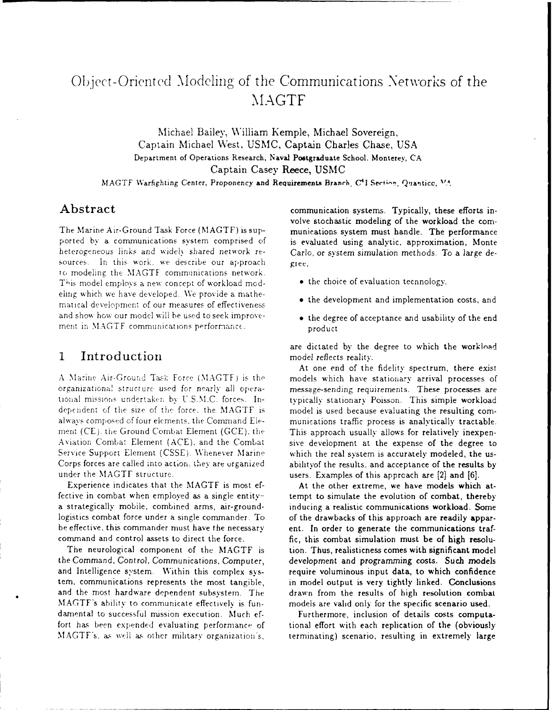## Object-Orientecd Mlodeling of the Communications Networks of the **MAGTF**

Michael Bailey, William Kemple, Michael Sovereign, Captain Michael West, USMC, Captain Charles Chase, USA **Department of Operations Research, Naval Postgraduate School. Monterey, CA** Captain Casey Reece, USMC

MAGTF Warfighting Center, Proponency and Requirements Branch, C<sup>4</sup>I Section, Quanticc, <sup>VA</sup>,

ported by a communications system comprised of is evaluated using analytic, approximation, Monte heterogeneous links and widely shared network re- Carlo, or system simulation methods. To a large desources. In this work, we describe our approach giee, To modeling the MAGTF communications network. This model employs a new concept of workload mod- **e** the choice of evaluation tecnnology,. ehng which we have developed. **We** provide a mathematical development of our measures of effectiveness and show how our model will be used to seek improve- **.**  $\bullet$  the degree of acceptance and usability of the end ment in MAGTF communications performance. product

## 1 Introduction model reflects reality.

tional missions undertaker by U.S.M.C. forces. In- typically stationary Poisson. This simple workload dependent of the size of the force, the MAGTF is model is used because evaluating the resulting comalways composed of four elements, the Command Ele- munications traffic process is analytically tractable. ment (CE), the Ground Combat Element (GCE), the This approach usually allows for relatively inexpen-Service Support Element (CSSE). Whenever Marine which the real system is accurately modeled, the us-Corps forces are called into action, they are organized ability of the results, and acceptance of the results by under the MAGTF structure. **under the MAGTF** structure. **under** the users. Examples of this approach are [2] and [6].

fective in combat when employed as a single entity- tempt to simulate the evolution of combat, thereby a strategically mobile, combined arms, air-ground- inducing a realistic communications workload. Some logistics combat force under a single commander. To of the drawbacks of this approach are readily apparbe effective, this commander must have the necessary ent. In order to generate the communications traf-

the Command, Control, Communications, Computer, development and programming costs. Such models and Intelligence system. Within this complex sys- require voluminous input data, to which confidence tem, communications represents the most tangible, in model output is very tightly linked. Conclusions and the most hardware dependent subsystem. The drawn from the results of high resolution combat MAGTF's abilitv to communicate effectively is fun- models are valid only for the specific scenario used. damental to successful mission execution. Much ef-<br>
Furthermore, inclusion of details costs computafort has been expended evaluating performance of tional effort with each replication of the (obviously

Abstract communication systems. Typically, these efforts involve stochastic modeling of the workload the com-**The** Marine Air-Ground Task Force (MAGTF) is sup- munications system must handle. **The** performance

- 
- the development and implementation costs, and
- 

are dictated by the degree to which the workload

At one end of the fidelity spectrum, there exist **A** Marine Air-Ground Tas: Force **(MAGTF)** is the models which have stationary arrival processes of organizationa' structure used for nearly all opera- message-sending requirements. These processes are Aviation Combat Element (ACE), and the Combat sive development at the expense of the degree to

Experience indicates that the MAGTF is most ef- At the other extreme, we have models which atcommand and control assets to direct the force. fic, this combat simulation must be of high resolu-The neurological component of the MAGTF is tion. Thus, realisticness comes with significant model

MAGTF's, as well **as** other military organization's, terminating) scenario, resulting in extremely large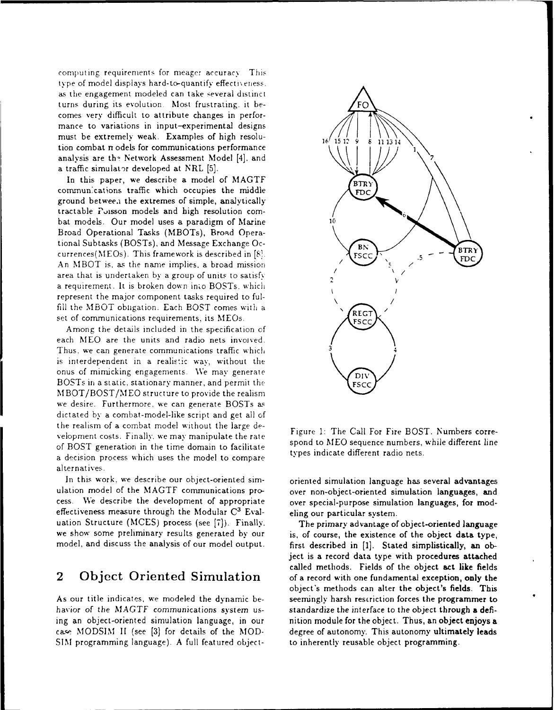computing requirements for meager accuracy. This type of model displays hard-to-quantify effecti\ eness, as the engagement modeled can take several distinct turns during its evolution. Most frustrating, it becomes very difficult to attribute changes in performance to variations in input-experimental designs must be extremely weak. Examples of high resolu-<br> $16 \begin{pmatrix} 7 & 1 \\ 15 & 12 \end{pmatrix}$ tion combat *n* odels for communications performance analysis are the Network Assessment Model [4], and a traffic simulator developed at NRL [5].

In this paper, we describe a model of MAGTF  $\sqrt{\text{BTR}}$ communications traffic which occupies the middle  $\Lambda$ FDC ground betweea the extremes of simple, analytically tractable Poisson models and high resolution com-<br>bat models. Our model uses a paradigm of Marine 10 Broad Operational Tasks (MBOTs), Broad Operational Subtasks (BOSTs), and Message Exchange Occurrences(MEOs). This framework is described in  $[8]$ . **FICC**<br>**FICC**  $\begin{bmatrix} 1 & 0 \\ 0 & 1 \end{bmatrix}$ An MBOT is, as the name implies, a broad mission area that is undertaken by a group of units to satisfy a requirement. It is broken down into BOSTs, which represent the major component tasks required to fulfill the MBOT obligation. Each BOST comes with a  $\sqrt{\text{REG}}$ set of communications requirements, its MEOs.  $A_{\text{FSC}}^{\text{NED}}$ 

Among the details included in the specification of each MEO are the units and radio nets invoived. Thus. we can generate communications traffic which **3** is interdependent in a realistic way, without the onus of mimicking engagements. We may generate BOSTs in a static, stationary manner, and permit the **FSCC** MBOT/BOST/MEO structure to provide the realism we desire. Furthermore, we can generate BOSTs **a&** dictated by a combat-model-like script and get all of the realism of a combat model without the large de- velopment costs. Finally. we may manipulate the rate of BOST generation in the time domain to facilitate spond to MEO sequence numbers, while different line<br>a dominion present units which were the model to semprese a decision process which uses the model to compare alternatives.

In this work, we describe our object-oriented sim- oriented simulation language has several advantages ulation model of the MAGTF communications pro- over non-object-oriented simulation languages, and cess. We describe the development of appropriate over special-purpose simulation languages, for modeffectiveness measure through the Modular **C'** Eval- eling our particular system. uation Structure (MCES) process (see [7]). Finally. The primary advantage of object-oriented language we show some preliminary results generated by our is, of course, the existence of the object data type,

havior of the MAGTF communications system us-<br>standardize the interface to the object through a defiing an object-oriented simulation language, in our nition module for the object. Thus, an object enjoys a case MODSIM II (see [3] for details of the MOD- degree of autonomy. This autonomy ultimately leads SIM programming language). A full featured object- to inherently reusable object programming.



Figure 1: The Call For Fire BOST. Numbers corre-

model, and discuss the analysis of our model output. first described in [1]. Stated simplistically, an object is a record data type with procedures attached called methods. Fields of the object act like fields 2 Object Oriented Simulation of a record with one fundamental exception, only the object's methods can alter the object's fields. This As our title indicates, we modeled the dynamic be-<br>seemingly harsh restriction forces the programmer to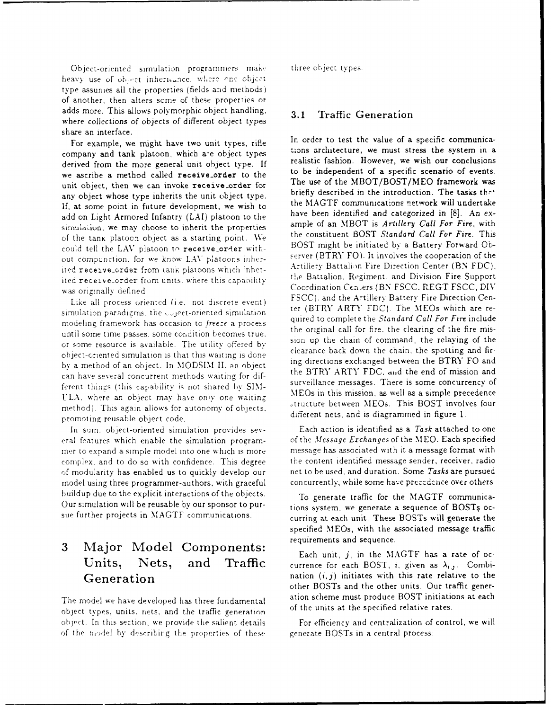Object-oriented simulation programmers make three object types. heavy use of object inheritance, where one object type assumes all the properties (fields and methods) of another, then alters some of these properties or adds more. This allows polymorphic object handling, **3.1** Traffic Generation where collections of objects of different object types share an interface.

company and tank platoon, which are object types tions architecture, we must stress the system in a derived from the more general unit object type. If realistic fashion. However, we wish our conclusions<br>to be independent of a specific scenario of events. we ascribe a method called **receive-order** to the to be independent of a specific scenario of events.<br>The use of the MBOT/BOST/MEO framework was unit object, then we can invoke receive-order for The use of the MBOT/BOST/MEO framework was<br>tiefly described in the introduction. The tasks that any object whose type inherits the unit object type.<br>If at cases noint in future development, we wish to the MAGTF communications network will undertake If, at some point in future development, we wish to the **MAGTF** communications network will undertake add on Light Armored Infantry (LAI) platoon to the have been identified and categorized in [8]. An ex-<br>simulation, we may choose to inherit the properties ample of an MBOT is Artillery Call For Fire, with simulation, we may choose to inherit the properties ample of an MBOT is *Ardlery Call For Fire*, with the constituent BOST *Standard Call For Fire*. This of the tanK platocn object as a starting point. **We** the constituent BOST *Standard Call For Fire.* This could tell the LAV platoon to receive-order with-<br>
server (BTRY FO). It involves the cooperation of the<br>
server (BTRY FO). It involves the cooperation of the out compunction, for we know LAV platoons inherited receptions of the main platoons which inter-<br>ited receptive coder from tank platoons which inter-<br>ited reception coder from units where this consisting the Battalion, Regiment, and Division Fire Support ited receive-order from units, where this capability was originally defined.<br>Coordination Centers (BN FSCC, REGT FSCC, DIV

simulation paradigms, the  $C_1$  oriented simulation ter (BTRY ARTY FDC). The MEOs which are re-<br>quired to complete the *Standard Call For Fire* include modeling framework has occasion to *freeze* a process the original call for fire, the clearing of the fire mis-<br>or some resource is available. The utility offered by<br>the original call for fire, the clearing of the fire mis-<br>sion up the chain of command, the relaying of the<br>cl object-oriented simulation is that this waiting is done<br>the straining directions exchanged between the BTRY FO and by a method of an object. In MODSIM II, an object ing directions exchanged between the BTRT TO and<br>the BTRY ARTY FDC, and the end of mission and can have several concurrent methods waiting for dif-<br>farmt things (this sepabliky is not changed by SIM) surveillance messages. There is some concurrency of ferent things (this capability is not shared by SIM-<br>Surveillance messages. There is some concurrency of<br>MEOs in this mission, as well as a simple precedence VLA, where an object may have only one waiting method). This again allows for autonomy of objects.<br>
attucture between MEOs. This BOST involves four<br>
different nets, and is diagrammed in figure 1. promoting reusable object code.

eral features which enable the simulation program- of the *Message Exchanges* of the MEO. Each specified mer to expand a simple model into one which is more message has associated with it a message format with complex. and to do so with confidence. This degree the content identified message sender, receiver, radio of modularity' has enabled us to quickly develop our net to be used, and duration. Some *Tasks* are pursued model using three programmer-authors, with graceful concurrently, while some have precedence over others. buildup due to the explicit interactions of the objects. To generate traffic for the MAGTF communica-Our simulation will be reusable by our sponsor to pur-<br>tions system, we generate a sequence of BOSTs oc-

# **3** Major Model Components: requirements and sequence.<br> **Each unit, j, in the MAGTF** has a rate of oc-

object types, units, nets, and the traffic generation of the model by describing the properties of these generate BOSTs in a central process:

For example, we might have two unit types, rifle In order to test the value of a specific communica-<br>ions architecture, we must stress the system in a Like all process oriented (i.e. not discrete event) FSCC). and the Artillery Battery Fire Direction Cen-<br>
Like all process oriented (i.e. not discrete event) the (BTRY ARTY FDC). The MEOs which are re-

In sum, object-oriented simulation provides sev- Each action is identified as a *Task* attached to one

sue further projects in MAGTF communications. curring at each unit. These BOSTs will generate the specified MEOs, with the associated message traffic

Units, Nets, and Traffic currence for each BOST, *i*, given as  $\lambda_{i,j}$ . Combi-Generation **nation** nation  $(i, j)$  initiates with this rate relative to the other BOSTs and the other units. Our traffic gener-The model we have developed has three fundamental ation scheme must produce BOST initiations at each<br>of the units at the specified relative rates.

object. In this section, we provide the salient details For efficiency and centralization of control, we will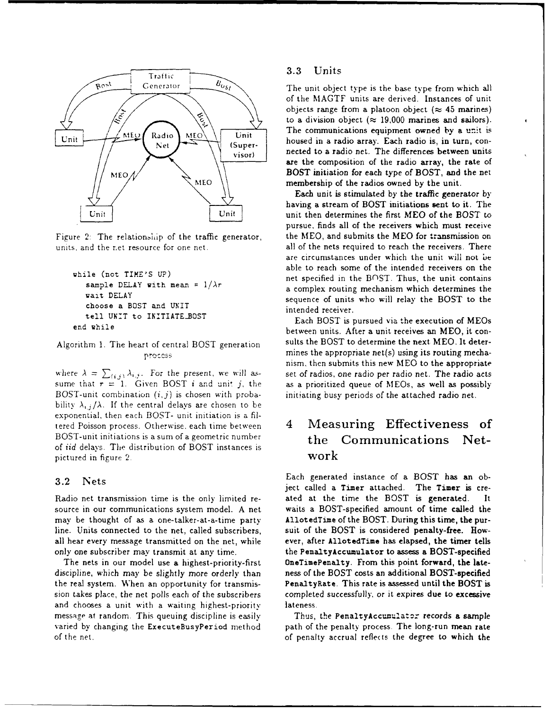

units, and the r.et resource for one net. all of the nets required to reach the receivers. There

```
choose a BOST and UNIT intended receiver.
tell UNIT to INITIATE_BOST Each BOST is pursued via the execution of MEOs
```
where  $\lambda = \sum_{(i,j)} \lambda_{i,j}$ . For the present, we will as- set of radios, one radio per radio net. The radio acts sume that  $r = 1$ . Given BOST *i* and unit *j*, the as a prioritized queue of MEOs, as well as possibly BOST-unit combination *(i,j)* is chosen with proba- initiating busy periods of the attached radio net. bility  $\lambda_{i,j}/\lambda$ . If the central delays are chosen to be exponential, then each BOST- unit initiation is a filtered Poisson process. Otherwise, each time between 4 Measuring Effectiveness of BOST-unit initiations is a sum of a geometric number the Communications Netof *iid* delays. The distribution of BOST instances is pictured in figure 2.  $\mathbf{work}$ 

source in our communications system model. A net waits a BOST-specified amount of time called the may be thought of as a one-talker-at-a-time party AllotedTime of the BOST. During this time, **the** purline. Units connected to the net, called subscribers, suit of the BOST is considered penalty-free. Howall hear every message transmitted on the net, while ever, after AllotedTime has elapsed, **the timer** tells

discipline, which may be slightly more orderly than ness of the BOST costs an additional BOST-specified the real system. When an opportunity for transmis-<br> **PenaltyRate.** This rate is assessed until the BOST is sion takes place, the net polls each of the subscribers completed successfully, or it expires due to excessive and chooses a unit with a waiting highest-priority lateness. message at random. This queuing discipline is easily Thus, the PenaltyAccumulator records a sample varied by changing the ExecuteBusyPeriod method path of the penalty process. The long-run mean rate of the net. of penalty accrual reflects the degree to which the

of the MAGTF units are derived. Instances of unit objects range from a platoon object  $(\approx 45 \text{ marines})$ to a division object ( $\approx$  19,000 marines and sailors).  $\mathcal{N}_{\text{MEO}}$   $\bigcap_{\text{NEO}}$   $\bigcap_{\text{Unit}}$  The communications equipment owned by a unit is  $\begin{array}{c|c|c|c|c|c} \hline \end{array}$  Unit (Super- housed in a radio array. Each radio is, in turn, con- $\overrightarrow{v}_{\text{isor}}$  nected to a radio net. The differences between units are the composition of the radio array, the rate of BOST initiation for each type of BOST, and the net membership of the radios owned by the unit.

Each unit is stimulated by the traffic generator by having a stream of BOST initiations sent to it. The Unit unit then determines the first MEO of the BOST to pursue, finds all of the receivers which must receive Figure 2: The relationship of the traffic generator, the MEO, and submits the MEO for transmission on are circumstances under which the unit will not be able to reach some of the intended receivers on the while (not TIME'S UP) net specified in the BOST. Thus, the unit contains<br>sample DELAY with mean =  $1/\lambda r$  net specified in the BOST. Thus, the unit contains a complex routing mechanism which determines the vait DELAY sequence of units who will relay the BOST to the

end while **between** units. After a unit receives an MEO, it con-Algorithm 1. The heart of central BOST generation sults the BOST to determine the next MEO. It deterprocess mines the appropriate net(s) using its routing mechanism, then submits this new **MEO** to the appropriate

**3.2 Nets** Each generated instance of a BOST has an object called a Timer attached. The Timer is cre-Radio net transmission time is the only limited re- ated at the time the BOST is generated. It only one subscriber may transmit at any time. the PenaltyAccumulator to assess a BOST-specified The nets in our model use a highest-priority-first OneTimePenalty. From this point forward, the late-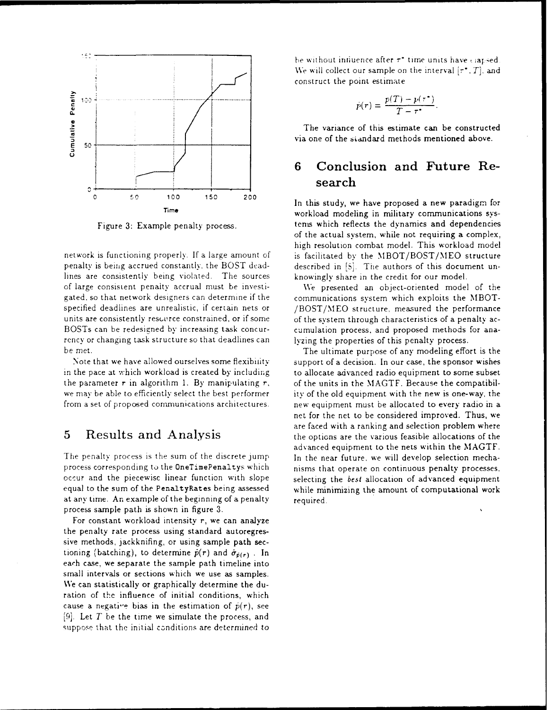

lines are consistently being violated. The sources knowingly share in the credit for our model. of large consistent penaity accrual must be investi- We presented an object-oriented model of the rency or changing task structure so that deadlines can lyzing the properties of this penalty process. be met. The ultimate purpose of any modeling effort is the

at any time. An example of the beginning of a penalty  $r_{\text{required}}$ . process sample path is shown in figure 3.

For constant workload intensity r, we can analyze the penalty rate process using standard autoregressive methods, jackknifing, or using sample path sectioning (batching), to determine  $\hat{p}(r)$  and  $\hat{\sigma}_{\hat{p}(r)}$ . In each case, we separate the sample path timeline into small intervals or sections which we use as samples. We can statistically or graphically determine the duration of the influence of initial conditions, which cause a negative bias in the estimation of  $\hat{p}(r)$ , see [9]. Let *T* be the time we simulate the process, and suppose that the initial conditions are determined to be without influence after  $\tau^*$  time units have *statised* We will collect our sample on the interval  $[\tau^{\bullet}, T]$ , and construct the point estimate

$$
\dot{p}(r) = \frac{p(T) - p(\tau^*)}{T - \tau^*}
$$

The variance of this estimate can be constructed via one of the standard methods mentioned above.

## **6 Conclusion and Future Re** search

<sup>C</sup>50 100 150 **<sup>200</sup>** In this study, we have proposed a new paradigm for Time workload modeling in military communications sys-Figure 3: Example penalty process. tems which reflects the dynamics and dependencies of the actual system, while not requiring a complex, high resolution combat model. This workload model network is functioning properly. If a large amount of is facilitated by the MBOT/BOST/MEO structure penalty is being accrued constantly, the BOST dead- described in **[S].** Tue authors of this document un-

gated. so that network designers can determine if the communications system which exploits the MBOTspecified deadlines are unrealistic, if certain nets or  $/BOST/MEO$  structure, measured the performance units are consistently resurree constrained, or if some of the system through characteristics of a penalty ac-BOSTs can be redesigned by increasing task concur- cumulation process, and proposed methods for ana-

Note that we have allowed ourselves some flexibility support of a decision. In our case, the sponsor wishes in the pace at which workload is created by including to allocate advanced radio equipment to some subset the parameter  $r$  in algorithm 1. By manipulating  $r$ , of the units in the MAGTF. Because the compatibilwe may be able to efficiently select the best performer ity of the old equipment with the new is one-way, the from a set of proposed cornmunications architectures. new equipment must be allocated to every radio in a net for the net to be considered improved. Thus, we are faced with a ranking and selection problem where 5 Results and Analysis the options are the various feasible allocations of the advanced equipment to the nets within the MAGTF. The penalty process is the sum of the discrete jump In the near future, we will develop selection mechaprocess corresponding to the OneTimePenaltys which nisms that operate on continuous penalty processes, occur and the piecewisc linear function with slope selecting the best allocation of advanced equipment equal to the sum of the PenaltyRates being assessed while minimizing the amount of computational work